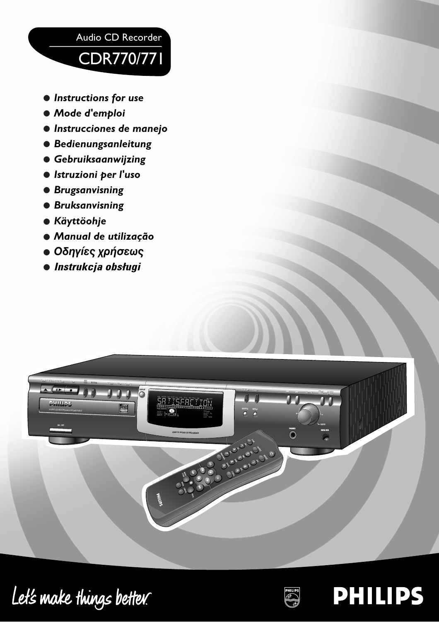

- *•Instructions for use*
- *• Mode d'emploi*
- *•Instrucciones de manejo*
- *• Bedienungsanleitung*
- *• Gebruiksaanwijzing*
- *•Istruzioni per l'uso*
- *• Brugsanvisning*
- *• Bruksanvisning*
- *• Käyttöohje*
- *• Manual de utilização*
- *Οδηγίες χρήσεως*
- **Instrukcja obsługi**



Let's make things better.



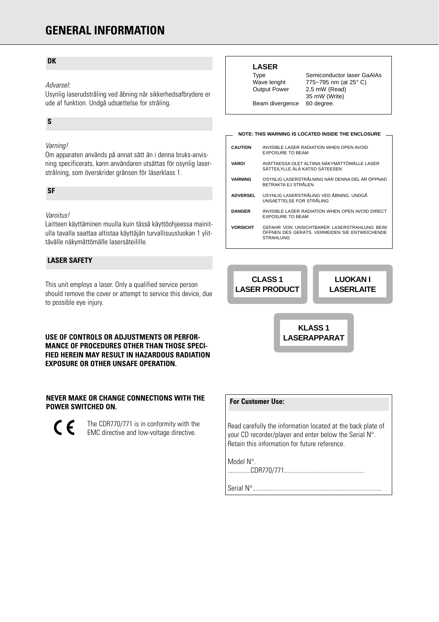# **GENERAL INFORMATION**

#### **DK**

#### Advarsel:

Usynlig laserudstråling ved åbning når sikkerhedsafbrydere er ude af funktion. Undgå udsættelse for stråling.

### **S**

#### Varning!

Om apparaten används på annat sätt än i denna bruks-anvisning specificerats, kann användaren utsättas för osynlig laserstrålning, som överskrider gränsen för läserklass 1.

#### **SF**

#### Varoitus!

Laitteen käyttäminen muulla kuin tässä käyttöohjeessa mainitulla tavalla saattaa altistaa käyttäjän turvallisuusluokan 1 ylittävälle näkymättömälle lasersäteilille.

#### **LASER SAFETY**

This unit employs a laser. Only a qualified service person should remove the cover or attempt to service this device, due to possible eye injury.

#### **USE OF CONTROLS OR ADJUSTMENTS OR PERFOR-MANCE OF PROCEDURES OTHER THAN THOSE SPECI-FIED HEREIN MAY RESULT IN HAZARDOUS RADIATION EXPOSURE OR OTHER UNSAFE OPERATION.**

#### **NEVER MAKE OR CHANGE CONNECTIONS WITH THE POWER SWITCHED ON.**

 $\epsilon$ The CDR770/771 is in conformity with the EMC directive and low-voltage directive.

#### **LASER**

Type Semiconductor laser GaAlAs Wave lenght 775~795 nm (at 25° C) Output Power 2,5 mW (Read) 35 mW (Write) Beam divergence 60 degree.

#### **NOTE: THIS WARNING IS LOCATED INSIDE THE ENCLOSURE**

| <b>CAUTION</b>  | INVISIBLE LASER RADIATION WHEN OPEN AVOID<br><b>EXPOSURE TO BEAM</b>                                             |
|-----------------|------------------------------------------------------------------------------------------------------------------|
| <b>VARO!</b>    | AVATTAESSA OLET ALTIINA NÄKYMÄTTÖMÄLLE LASER<br>SÄTTEILYLLE ÄLÄ KATSO SÄTEESEN                                   |
| <b>VARNING</b>  | OSYNLIG LASERSTRÅLNING NÄR DENNA DEL ÄR ÖPPNAD<br>BETRAKTA EJ STRÅI EN                                           |
| <b>ADVERSEL</b> | USYNLIG LASERSTRÅLING VED ÅBNING. UNDGÅ<br>UNSAFTTELSE FOR STRÅLING                                              |
| <b>DANGER</b>   | INVISIBLE LASER RADIATION WHEN OPEN AVOID DIRECT<br><b>EXPOSURE TO BEAM</b>                                      |
| <b>VORSICHT</b> | GEFAHR VON UNSICHTBARER LASERSTRAHLUNG BEIM<br>ÖFFNEN DES GERÄTS, VERMEIDEN SIE ENTWEICHENDE<br><b>STRAHLUNG</b> |

**CLASS 1 LASER PRODUCT**

**LUOKAN I LASERLAITE**

**KLASS 1 LASERAPPARAT**

### **For Customer Use:**

Read carefully the information located at the back plate of your CD recorder/player and enter below the Serial N°. Retain this information for future reference.

Model N°.

..............CDR770/771.................................................

Serial N°...............................................................................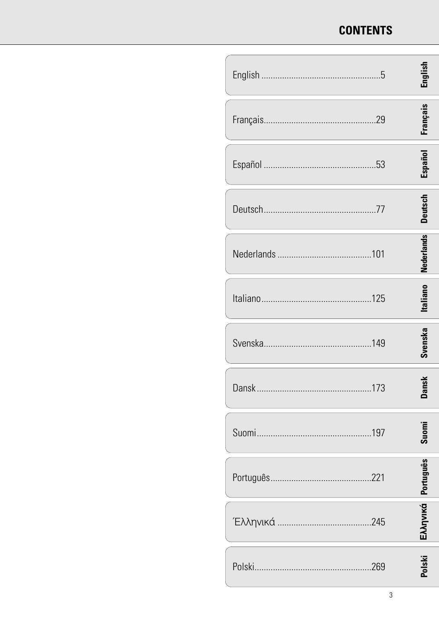# **CONTENTS**

| tnglish            |
|--------------------|
| Français           |
| Español            |
| Deutsch            |
| <b>Nederlands</b>  |
| <b>Italiano</b>    |
| Svenska            |
| is⊾                |
| ది                 |
| Suomi              |
|                    |
| Eλληνικά Português |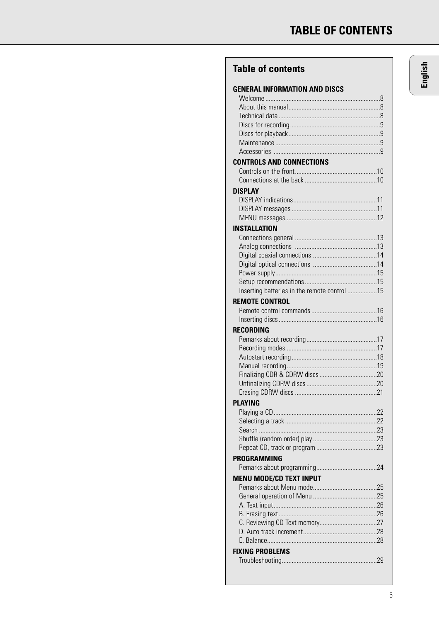# **Table of contents**

| <b>GENERAL INFORMATION AND DISCS</b>         |
|----------------------------------------------|
|                                              |
|                                              |
|                                              |
|                                              |
|                                              |
|                                              |
| <b>CONTROLS AND CONNECTIONS</b>              |
|                                              |
|                                              |
| <b>DISPLAY</b>                               |
|                                              |
|                                              |
|                                              |
| INSTALLATION                                 |
|                                              |
|                                              |
|                                              |
|                                              |
|                                              |
| Inserting batteries in the remote control 15 |
| <b>REMOTE CONTROL</b>                        |
|                                              |
| RECORDING                                    |
|                                              |
|                                              |
|                                              |
|                                              |
|                                              |
|                                              |
| <b>PLAYING</b>                               |
| .22                                          |
|                                              |
|                                              |
|                                              |
|                                              |
| PROGRAMMING                                  |
|                                              |
| <b>MENU MODE/CD TEXT INPUT</b>               |
|                                              |
|                                              |
|                                              |
|                                              |
|                                              |
|                                              |
| <b>FIXING PROBLEMS</b>                       |
|                                              |
|                                              |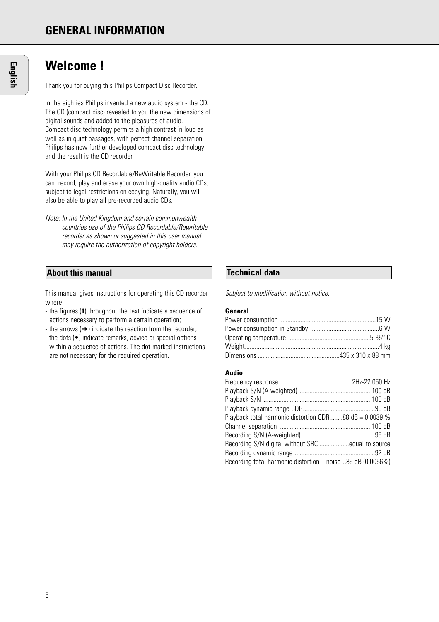# **Welcome !**

Thank you for buying this Philips Compact Disc Recorder.

In the eighties Philips invented a new audio system - the CD. The CD (compact disc) revealed to you the new dimensions of digital sounds and added to the pleasures of audio. Compact disc technology permits a high contrast in loud as well as in quiet passages, with perfect channel separation. Philips has now further developed compact disc technology and the result is the CD recorder.

With your Philips CD Recordable/ReWritable Recorder, you can record, play and erase your own high-quality audio CDs, subject to legal restrictions on copying. Naturally, you will also be able to play all pre-recorded audio CDs.

Note: In the United Kingdom and certain commonwealth countries use of the Philips CD Recordable/Rewritable recorder as shown or suggested in this user manual may require the authorization of copyright holders.

# **About this manual Technical data**

This manual gives instructions for operating this CD recorder where:

- the figures (**1**) throughout the text indicate a sequence of actions necessary to perform a certain operation;
- the arrows  $(\rightarrow)$  indicate the reaction from the recorder;
- the dots (•) indicate remarks, advice or special options within a sequence of actions. The dot-marked instructions are not necessary for the required operation.

Subject to modification without notice.

#### **General**

#### **Audio**

| Playback total harmonic distortion CDR88 dB = 0.0039 %      |  |
|-------------------------------------------------------------|--|
|                                                             |  |
|                                                             |  |
|                                                             |  |
|                                                             |  |
| Recording total harmonic distortion + noise 85 dB (0.0056%) |  |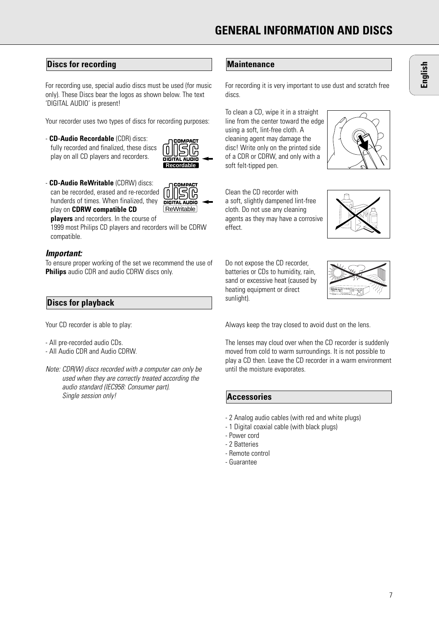# **Discs for recording**

For recording use, special audio discs must be used (for music only). These Discs bear the logos as shown below. The text 'DIGITAL AUDIO' is present!

Your recorder uses two types of discs for recording purposes:

- **CD-Audio Recordable** (CDR) discs: fully recorded and finalized, these discs play on all CD players and recorders.



**ReWritable** 

**DIGITAL AUDIO** 

ပြု

- **CD-Audio ReWritable** (CDRW) discs: can be recorded, erased and re-recorded hunderds of times. When finalized, they play on **CDRW compatible CD**

**players** and recorders. In the course of

1999 most Philips CD players and recorders will be CDRW compatible.

#### **Important:**

To ensure proper working of the set we recommend the use of **Philips** audio CDR and audio CDRW discs only.

### **Discs for playback**

Your CD recorder is able to play:

- All pre-recorded audio CDs.
- All Audio CDR and Audio CDRW.
- Note: CDR(W) discs recorded with a computer can only be used when they are correctly treated according the audio standard (IEC958: Consumer part). Single session only!

### **Maintenance**

For recording it is very important to use dust and scratch free discs.

To clean a CD, wipe it in a straight line from the center toward the edge using a soft, lint-free cloth. A cleaning agent may damage the disc! Write only on the printed side of a CDR or CDRW, and only with a soft felt-tipped pen.

Clean the CD recorder with a soft, slightly dampened lint-free cloth. Do not use any cleaning agents as they may have a corrosive effect.





Do not expose the CD recorder, batteries or CDs to humidity, rain sand or excessive heat (caused by heating equipment or direct sunlight).



Always keep the tray closed to avoid dust on the lens.

The lenses may cloud over when the CD recorder is suddenly moved from cold to warm surroundings. It is not possible to play a CD then. Leave the CD recorder in a warm environment until the moisture evaporates.

#### **Accessories**

- 2 Analog audio cables (with red and white plugs)
- 1 Digital coaxial cable (with black plugs)
- Power cord
- 2 Batteries
- Remote control
- Guarantee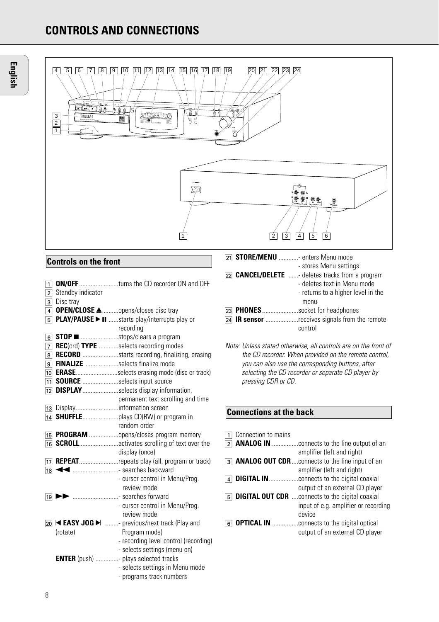# **CONTROLS AND CONNECTIONS**



# **Controls on the front**

| $\overline{1}$ |                                  | <b>ON/OFF</b> turns the CD recorder ON and OFF           |
|----------------|----------------------------------|----------------------------------------------------------|
|                | $\overline{2}$ Standby indicator |                                                          |
|                | $\overline{3}$ Disc tray         |                                                          |
|                |                                  | 4 OPEN/CLOSE <u>A</u> opens/closes disc tray             |
| $\overline{5}$ |                                  | PLAY/PAUSE > II starts play/interrupts play or           |
|                |                                  | recording                                                |
| 6 <sup>1</sup> |                                  | <b>STOP</b> ■       stops/clears a program               |
| 7              |                                  | <b>REC</b> (ord) <b>TYPE</b> selects recording modes     |
| 8 <sup>1</sup> |                                  | <b>RECORD</b> starts recording, finalizing, erasing      |
|                |                                  | 9 FINALIZE selects finalize mode                         |
|                |                                  | 10 <b>ERASE</b> selects erasing mode (disc or track)     |
|                |                                  | 11 SOURCE selects input source                           |
| 12             |                                  | <b>DISPLAY</b> selects display information,              |
|                |                                  | permanent text scrolling and time                        |
|                |                                  | 13 Displayinformation screen                             |
|                |                                  |                                                          |
|                |                                  | random order                                             |
|                |                                  | 15 PROGRAM opens/closes program memory                   |
|                |                                  | 16 <b>SCROLL</b> activates scrolling of text over the    |
|                |                                  | display (once)                                           |
|                |                                  | 17 <b>REPEAT</b> repeats play (all, program or track)    |
| 18             |                                  |                                                          |
|                |                                  | - cursor control in Menu/Prog.                           |
|                |                                  | review mode                                              |
| 19             |                                  | searches forward                                         |
|                |                                  | - cursor control in Menu/Prog.                           |
|                |                                  | review mode                                              |
|                |                                  | 20 <b>EASY JOG &gt; </b> - previous/next track (Play and |
|                | (rotate)                         | Program mode)                                            |
|                |                                  | - recording level control (recording)                    |
|                |                                  | - selects settings (menu on)                             |
|                |                                  | <b>ENTER</b> (push) - plays selected tracks              |
|                |                                  | - selects settings in Menu mode                          |
|                |                                  | - programs track numbers                                 |

|  | 21 <b>STORE/MENU</b> enters Menu mode                     |
|--|-----------------------------------------------------------|
|  | - stores Menu settings                                    |
|  | [22] <b>CANCEL/DELETE</b> - deletes tracks from a program |

```
- deletes text in Menu mode
                           - returns to a higher level in the
                             menu
£ PHONES......................socket for headphones
124 IR sensor ...................receives signals from the remote
                           control
```
# **Connections at the back**

|   | Connection to mains |                                                        |
|---|---------------------|--------------------------------------------------------|
| 2 |                     | <b>ANALOG IN</b> connects to the line output of an     |
|   |                     | amplifier (left and right)                             |
| 3 |                     | <b>ANALOG OUT CDR</b> connects to the line input of an |
|   |                     | amplifier (left and right)                             |
|   |                     | <b>DIGITAL IN</b> connects to the digital coaxial      |
|   |                     | output of an external CD player                        |
| 5 |                     | <b>DIGITAL OUT CDR</b> connects to the digital coaxial |
|   |                     | input of e.g. amplifier or recording                   |
|   |                     | device                                                 |
|   |                     | <b>OPTICAL IN</b> connects to the digital optical      |
|   |                     | output of an external CD player                        |
|   |                     |                                                        |

Note: Unless stated otherwise, all controls are on the front of the CD recorder. When provided on the remote control, you can also use the corresponding buttons, after selecting the CD recorder or separate CD player by pressing CDR or CD.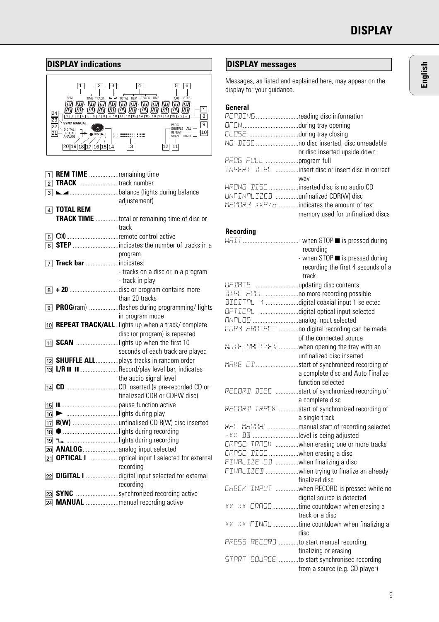

| 1 <sup>1</sup> | <b>REM TIME</b> remaining time |                                                             |
|----------------|--------------------------------|-------------------------------------------------------------|
|                | 2 TRACK track number           |                                                             |
|                |                                |                                                             |
|                |                                | adjustement)                                                |
|                | $\boxed{4}$ TOTAL REM          |                                                             |
|                |                                |                                                             |
|                |                                | <b>TRACK TIME</b> total or remaining time of disc or        |
|                |                                | track                                                       |
|                | 5 OIIremote control active     |                                                             |
|                |                                |                                                             |
|                |                                | program                                                     |
|                |                                |                                                             |
|                |                                | - tracks on a disc or in a program                          |
|                |                                | - track in play                                             |
|                |                                | 8 + 20 disc or program contains more                        |
|                |                                | than 20 tracks                                              |
|                |                                | 9 PROG(ram) flashes during programming/ lights              |
|                |                                | in program mode                                             |
|                |                                | 10 <b>REPEAT TRACK/ALL</b> lights up when a track/ complete |
|                |                                | disc (or program) is repeated                               |
|                |                                | 11 <b>SCAN</b> lights up when the first 10                  |
|                |                                | seconds of each track are played                            |
|                |                                | 12 SHUFFLE ALLplays tracks in random order                  |
|                |                                | 13 L/R II IIRecord/play level bar, indicates                |
|                |                                | the audio signal level                                      |
|                |                                |                                                             |
|                |                                | finalizsed CDR or CDRW disc)                                |
|                |                                |                                                             |
|                |                                |                                                             |
|                |                                | 17 R(W) unfinalised CD R(W) disc inserted                   |
|                |                                | 18   lights during recording                                |
|                |                                |                                                             |
|                |                                |                                                             |
|                |                                | 21 <b>OPTICAL I</b> optical input I selected for external   |
|                |                                | recording                                                   |
|                |                                | 22 DIGITAL I digital input selected for external            |
|                |                                | recording                                                   |
|                |                                | 23 SYNC synchronized recording active                       |
|                |                                | 24 MANUAL manual recording active                           |

# **DISPLAY messages**

Messages, as listed and explained here, may appear on the display for your guidance.

| RERIINGreading disc information       |                                                                      |
|---------------------------------------|----------------------------------------------------------------------|
|                                       |                                                                      |
|                                       |                                                                      |
|                                       |                                                                      |
|                                       | or disc inserted upside down                                         |
| PROG FULL program full                |                                                                      |
|                                       | INSERT DISC insert disc or insert disc in correct                    |
|                                       | way                                                                  |
|                                       | WREING DISC inserted disc is no audio CD                             |
| LINF INRLIZED unfinalized CDR(W) disc |                                                                      |
|                                       | MEMORY $\mathbb{R}\times\mathbb{R}^7$ a indicates the amount of text |
|                                       | memory used for unfinalized discs                                    |
|                                       |                                                                      |

### **Recording**

|                                         | recording                                         |
|-----------------------------------------|---------------------------------------------------|
|                                         | - when STOP ■ is pressed during                   |
|                                         | recording the first 4 seconds of a                |
|                                         | track                                             |
| LIP DRTE updating disc contents         |                                                   |
|                                         | <b>IISC</b> FULL  no more recording possible      |
|                                         | <b>IIGITRL</b> 1 digital coaxial input 1 selected |
|                                         | OPTICRL digital optical input selected            |
|                                         |                                                   |
|                                         | EDPY PROTEET no digital recording can be made     |
|                                         | of the connected source                           |
|                                         | NOTF INRLIZED when opening the tray with an       |
|                                         | unfinalized disc inserted                         |
|                                         | MRKE CDstart of synchronized recording of         |
|                                         | a complete disc and Auto Finalize                 |
|                                         | function selected                                 |
|                                         | RECORD DISC start of synchronized recording of    |
|                                         | a complete disc                                   |
|                                         | RECORD TRACK start of synchronized recording of   |
|                                         | a single track                                    |
|                                         | REE MANUAL manual start of recording selected     |
| - XX DB level is being adjusted         |                                                   |
|                                         | ERRSE TRREK when erasing one or more tracks       |
| ERRSE DISC when erasing a disc          |                                                   |
| FINRLIZE CD when finalizing a disc      |                                                   |
|                                         | FINRLIZED when trying to finalize an already      |
|                                         | finalized disc                                    |
|                                         | CHECK INPUT when RECORD is pressed while no       |
|                                         | digital source is detected                        |
|                                         | x x x x ERRSE time countdown when erasing a       |
|                                         | track or a disc                                   |
|                                         | xx xx FINRL time countdown when finalizing a      |
|                                         | disc                                              |
| PRESS RECORD to start manual recording, |                                                   |
|                                         | finalizing or erasing                             |
|                                         | STRRT SOURCE to start synchronised recording      |
|                                         | from a source (e.g. CD player)                    |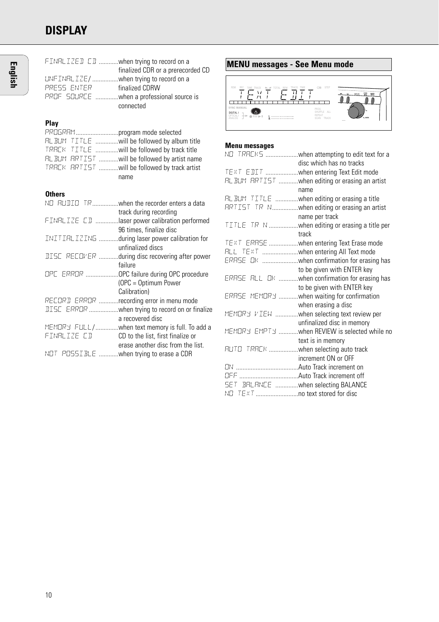# **DISPLAY**

| PRESS ENTER                           | FINRLIZED CD when trying to record on a<br>finalized CDR or a prerecorded CD<br>UNFINRLIZE/when trying to record on a<br>finalized CDRW<br>PROF SOURCE when a professional source is<br>connected      |
|---------------------------------------|--------------------------------------------------------------------------------------------------------------------------------------------------------------------------------------------------------|
| Play<br>PROGRAM program mode selected | RL BUM TITLE will be followed by album title<br>TRREK TITLE will be followed by track title<br>FIL BUM FRTIST will be followed by artist name<br>TRACK ARTIST will be followed by track artist<br>name |
| <b>Others</b>                         |                                                                                                                                                                                                        |
|                                       | NO RUDIO TRwhen the recorder enters a data<br>track during recording                                                                                                                                   |
|                                       | FINRLIZE CD laser power calibration performed<br>96 times, finalize disc                                                                                                                               |
|                                       | INITIRLIZING during laser power calibration for<br>unfinalized discs                                                                                                                                   |
|                                       | DISC RECOMER during disc recovering after power<br>failure                                                                                                                                             |
|                                       | OPE ERROR OPC failure during OPC procedure<br>(OPC = Optimum Power                                                                                                                                     |
|                                       | Calibration)<br>RECORD ERROR recording error in menu mode<br><b>JISC</b> ERROR when trying to record on or finalize                                                                                    |
|                                       | a recovered disc<br>MEMORY FULL/when text memory is full. To add a<br>FINALIZE CD <b>CD</b> to the list, first finalize or                                                                             |
|                                       | erase another disc from the list.<br>NOT POSSIBLE when trying to erase a CDR                                                                                                                           |
|                                       |                                                                                                                                                                                                        |



### **Menu messages**

| NO TRREKS when attempting to edit text for a<br>disc which has no tracks |
|--------------------------------------------------------------------------|
| TEXT EDIT when entering Text Edit mode                                   |
| FIL BUM FIRTIST when editing or erasing an artist                        |
| name                                                                     |
| FIL BUM TITLE when editing or erasing a title                            |
| ARTIST TR Nwhen editing or erasing an artist                             |
| name per track                                                           |
| TITLE TR N when editing or erasing a title per                           |
| track                                                                    |
| TEXT ERRSE when entering Text Erase mode                                 |
| RLL TEXT when entering All Text mode                                     |
|                                                                          |
| to be given with ENTER key                                               |
| ERRSE RLL DK when confirmation for erasing has                           |
| to be given with ENTER key                                               |
| ERRSE MEMORY  when waiting for confirmation                              |
| when erasing a disc                                                      |
| MEMORY VIEW when selecting text review per                               |
| unfinalized disc in memory                                               |
| MEMORY EMPTY when REVIEW is selected while no                            |
| text is in memory                                                        |
| RUTO TRREK when selecting auto track                                     |
| increment ON or OFF                                                      |
|                                                                          |
|                                                                          |
| SET BRURNEE when selecting BALANCE                                       |
|                                                                          |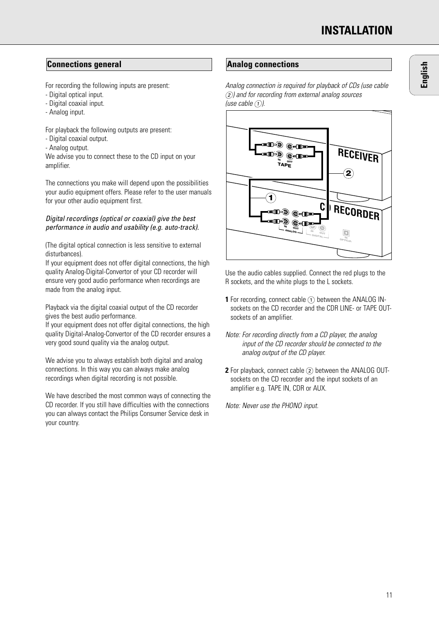# **Connections general Analog connections**

For recording the following inputs are present:

- Digital optical input.
- Digital coaxial input.
- Analog input.

For playback the following outputs are present:

- Digital coaxial output.
- Analog output.

We advise you to connect these to the CD input on your amplifier.

The connections you make will depend upon the possibilities your audio equipment offers. Please refer to the user manuals for your other audio equipment first.

### Digital recordings (optical or coaxial) give the best performance in audio and usability (e.g. auto-track).

(The digital optical connection is less sensitive to external disturbances).

If your equipment does not offer digital connections, the high quality Analog-Digital-Convertor of your CD recorder will ensure very good audio performance when recordings are made from the analog input.

Playback via the digital coaxial output of the CD recorder gives the best audio performance.

If your equipment does not offer digital connections, the high quality Digital-Analog-Convertor of the CD recorder ensures a very good sound quality via the analog output.

We advise you to always establish both digital and analog connections. In this way you can always make analog recordings when digital recording is not possible.

We have described the most common ways of connecting the CD recorder. If you still have difficulties with the connections you can always contact the Philips Consumer Service desk in your country.

Analog connection is required for playback of CDs (use cable 2) and for recording from external analog sources (use cable  $(1)$ ).



Use the audio cables supplied. Connect the red plugs to the R sockets, and the white plugs to the L sockets.

- **1** For recording, connect cable  $(1)$  between the ANALOG INsockets on the CD recorder and the CDR LINE- or TAPE OUTsockets of an amplifier.
- Note: For recording directly from a CD player, the analog input of the CD recorder should be connected to the analog output of the CD player.
- **2** For playback, connect cable (2) between the ANALOG OUTsockets on the CD recorder and the input sockets of an amplifier e.g. TAPE IN, CDR or AUX.

Note: Never use the PHONO input.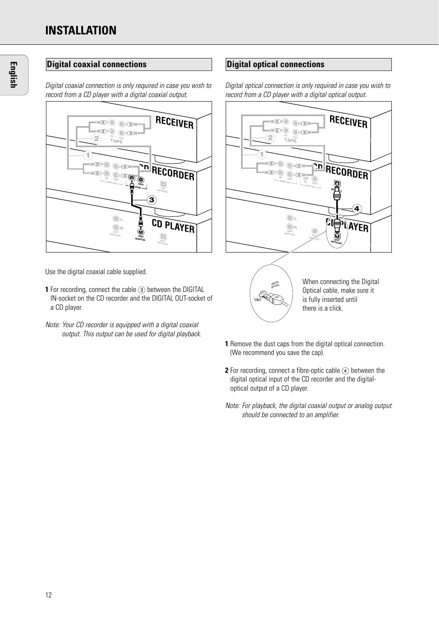Digital coaxial connection is only required in case you wish to record from a CD player with a digital coaxial output.



Use the digital coaxial cable supplied.

- **1** For recording, connect the cable (3) between the DIGITAL IN-socket on the CD recorder and the DIGITAL OUT-socket of a CD player.
- Note: Your CD recorder is equipped with a digital coaxial output. This output can be used for digital playback.

# **Digital optical connections**

Digital optical connection is only required in case you wish to record from a CD player with a digital optical output.



When connecting the Digital Optical cable, make sure it is fully inserted until there is a click.

**1** Remove the dust caps from the digital optical connection. (We recommend you save the cap).

DIGITAL<br>OPTICA **RAT** 

- **2** For recording, connect a fibre-optic cable  $\widehat{A}$  between the digital optical input of the CD recorder and the digitaloptical output of a CD player.
- Note: For playback, the digital coaxial output or analog output should be connected to an amplifier.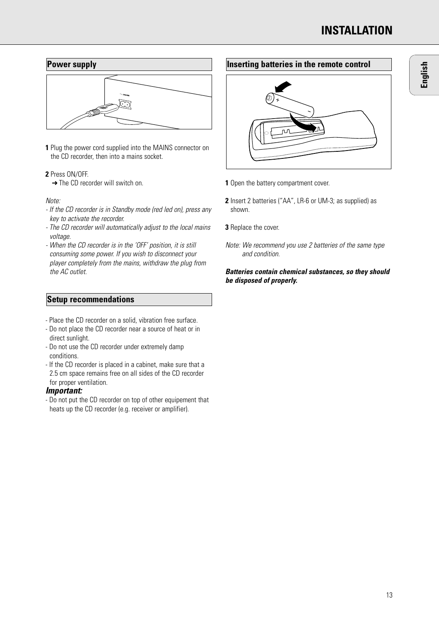

**1** Plug the power cord supplied into the MAINS connector on the CD recorder, then into a mains socket.

#### **2** Press ON/OFF.

**→ The CD recorder will switch on.** 

#### Note:

- If the CD recorder is in Standby mode (red led on), press any key to activate the recorder.
- The CD recorder will automatically adjust to the local mains voltage.
- When the CD recorder is in the 'OFF' position, it is still consuming some power. If you wish to disconnect your player completely from the mains, withdraw the plug from the AC outlet

### **Setup recommendations**

- Place the CD recorder on a solid, vibration free surface.
- Do not place the CD recorder near a source of heat or in direct sunlight.
- Do not use the CD recorder under extremely damp conditions.
- If the CD recorder is placed in a cabinet, make sure that a 2.5 cm space remains free on all sides of the CD recorder for proper ventilation.

#### **Important:**

- Do not put the CD recorder on top of other equipement that heats up the CD recorder (e.g. receiver or amplifier).

# **Inserting batteries in the remote control**



- **1** Open the battery compartment cover.
- **2** Insert 2 batteries ("AA", LR-6 or UM-3; as supplied) as shown.
- **3** Replace the cover.
- Note: We recommend you use 2 batteries of the same type and condition.

#### **Batteries contain chemical substances, so they should be disposed of properly.**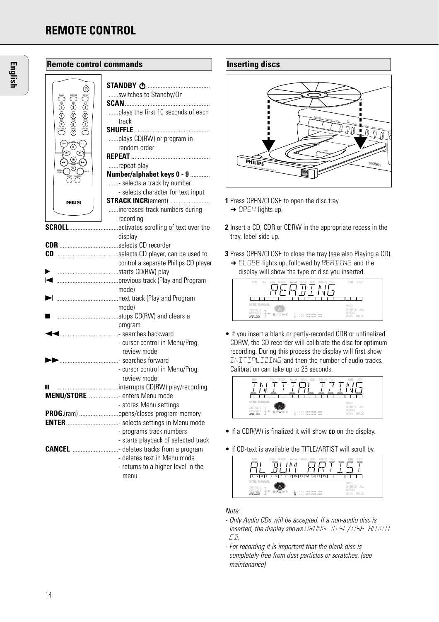# **REMOTE CONTROL**

| <b>Remote control commands</b>                                                                                                                                            |                                                           |  |
|---------------------------------------------------------------------------------------------------------------------------------------------------------------------------|-----------------------------------------------------------|--|
| ⊙                                                                                                                                                                         | switches to Standby/On                                    |  |
| $\bigcup_{\mathfrak{S}}\mathfrak{g}_{\text{ACE}}^{\text{sg}}(\mathfrak{S})\mathfrak{g}(\mathfrak{S})\mathfrak{g}(\mathfrak{S})$<br>ا قرص او هو ان<br>$\frac{1}{\sqrt{1}}$ | plays the first 10 seconds of each<br>track               |  |
| .<br>CDR<br>$_{\mathbf{\large \odot}}$                                                                                                                                    | plays CD(RW) or program in<br>random order                |  |
| $\odot$                                                                                                                                                                   |                                                           |  |
| ⊕                                                                                                                                                                         | repeat play                                               |  |
|                                                                                                                                                                           | Number/alphabet keys 0 - 9<br>- selects a track by number |  |
|                                                                                                                                                                           | - selects character for text input                        |  |
| <b>PHILIPS</b>                                                                                                                                                            | <b>STRACK INCR(ement) </b>                                |  |
|                                                                                                                                                                           | increases track numbers during                            |  |
|                                                                                                                                                                           | recording                                                 |  |
|                                                                                                                                                                           | <b>SCROLL</b> activates scrolling of text over the        |  |
|                                                                                                                                                                           | display                                                   |  |
|                                                                                                                                                                           |                                                           |  |
|                                                                                                                                                                           |                                                           |  |
|                                                                                                                                                                           | control a separate Philips CD player                      |  |
|                                                                                                                                                                           |                                                           |  |
|                                                                                                                                                                           | mode)                                                     |  |
|                                                                                                                                                                           |                                                           |  |
|                                                                                                                                                                           | mode)                                                     |  |
|                                                                                                                                                                           |                                                           |  |
| program                                                                                                                                                                   |                                                           |  |
|                                                                                                                                                                           | <b>I.marrorated and Searches backward</b>                 |  |
|                                                                                                                                                                           | - cursor control in Menu/Prog.                            |  |
|                                                                                                                                                                           | review mode                                               |  |
|                                                                                                                                                                           |                                                           |  |
|                                                                                                                                                                           | - cursor control in Menu/Prog.                            |  |
|                                                                                                                                                                           | review mode<br>interrupts CD(RW) play/recording           |  |
|                                                                                                                                                                           | <b>MENU/STORE</b> enters Menu mode                        |  |
|                                                                                                                                                                           | - stores Menu settings                                    |  |
|                                                                                                                                                                           | PROG.(ram) opens/closes program memory                    |  |
|                                                                                                                                                                           | <b>ENTER</b> selects settings in Menu mode                |  |
|                                                                                                                                                                           | - programs track numbers                                  |  |
|                                                                                                                                                                           | - starts playback of selected track                       |  |
|                                                                                                                                                                           | <b>CANCEL</b> deletes tracks from a program               |  |
|                                                                                                                                                                           | - deletes text in Menu mode                               |  |
|                                                                                                                                                                           | - returns to a higher level in the<br>menu                |  |

# **Inserting discs** FINALIZE PLAYPAUSE STOP PLAY FINALIZE PLAYPAUSE STOP REC  $\overline{D}$  $\bigcap$ DIS ON/OFF **DIRECT LINE**  $\overline{\phantom{a}}$ **AUDIO COMMERCIAL COMMERCIAL**<br>AUDIO COMMERCIAL COMMERCIAL COMMERCIAL COMMERCIAL COMMERCIAL COMMERCIAL COMMERCIAL Recordable

**1** Press OPEN/CLOSE to open the disc tray.

**→ OPEN lights up.** 

- **2** Insert a CD, CDR or CDRW in the appropriate recess in the tray, label side up.
- **3** Press OPEN/CLOSE to close the tray (see also Playing a CD). → CLOSE lights up, followed by READING and the display will show the type of disc you inserted.



• If you insert a blank or partly-recorded CDR or unfinalized CDRW, the CD recorder will calibrate the disc for optimum recording. During this process the display will first show INITIALIZING and then the number of audio tracks. Calibration can take up to 25 seconds.



- If a CDR(W) is finalized it will show **CD** on the display.
- If CD-text is available the TITLE/ARTIST will scroll by.



#### Note:

- Only Audio CDs will be accepted. If a non-audio disc is inserted, the display shows WRONG DISC/ USE AUDIO CD.
- For recording it is important that the blank disc is completely free from dust particles or scratches. (see maintenance)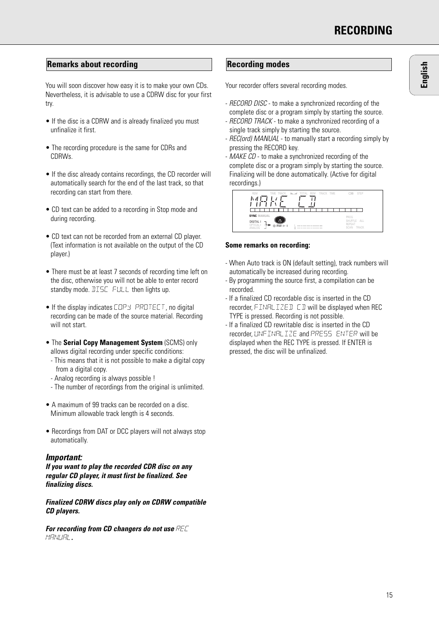# **Remarks about recording the condition of the Recording modes**

You will soon discover how easy it is to make your own CDs. Nevertheless, it is advisable to use a CDRW disc for your first try.

- If the disc is a CDRW and is already finalized you must unfinalize it first.
- The recording procedure is the same for CDRs and CDRWs.
- If the disc already contains recordings, the CD recorder will automatically search for the end of the last track, so that recording can start from there.
- CD text can be added to a recording in Stop mode and during recording.
- CD text can not be recorded from an external CD player. (Text information is not available on the output of the CD player.)
- There must be at least 7 seconds of recording time left on the disc, otherwise you will not be able to enter record standby mode. DISC FULL then lights up.
- If the display indicates COPY, PROTECT, no digital recording can be made of the source material. Recording will not start.
- The **Serial Copy Management System** (SCMS) only allows digital recording under specific conditions:
- This means that it is not possible to make a digital copy from a digital copy.
- Analog recording is always possible !
- The number of recordings from the original is unlimited.
- A maximum of 99 tracks can be recorded on a disc. Minimum allowable track length is 4 seconds.
- Recordings from DAT or DCC players will not always stop automatically.

#### **Important:**

**If you want to play the recorded CDR disc on any regular CD player, it must first be finalized. See finalizing discs.**

#### **Finalized CDRW discs play only on CDRW compatible CD players.**

**For recording from CD changers do not use** REC MANUAL**.**

Your recorder offers several recording modes.

- RECORD DISC to make a synchronized recording of the complete disc or a program simply by starting the source.
- RECORD TRACK to make a synchronized recording of a single track simply by starting the source.
- REC(ord) MANUAL to manually start a recording simply by pressing the RECORD key.
- MAKE CD to make a synchronized recording of the complete disc or a program simply by starting the source. Finalizing will be done automatically. (Active for digital recordings.)



#### **Some remarks on recording:**

- When Auto track is ON (default setting), track numbers will automatically be increased during recording.
- By programming the source first, a compilation can be recorded.
- If a finalized CD recordable disc is inserted in the CD recorder,  $FTMBL + TZF + T$  T will be displayed when RFC TYPE is pressed. Recording is not possible.
- If a finalized CD rewritable disc is inserted in the CD recorder, UNFINALIZE and PRESS ENTER will be displayed when the REC TYPE is pressed. If ENTER is pressed, the disc will be unfinalized.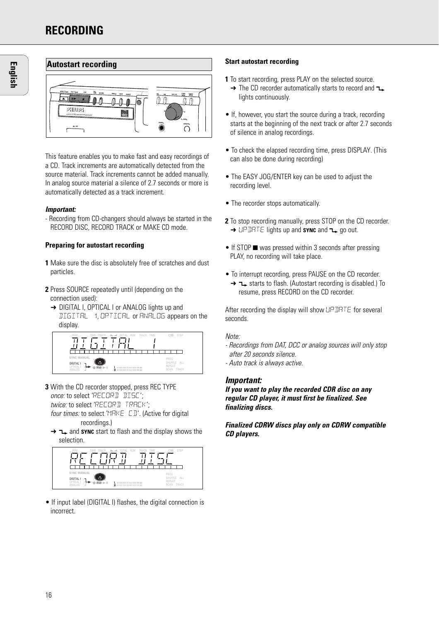# **RECORDING**



This feature enables you to make fast and easy recordings of a CD. Track increments are automatically detected from the source material. Track increments cannot be added manually. In analog source material a silence of 2.7 seconds or more is automatically detected as a track increment.

#### **Important:**

- Recording from CD-changers should always be started in the RECORD DISC, RECORD TRACK or MAKE CD mode.

#### **Preparing for autostart recording**

- **1** Make sure the disc is absolutely free of scratches and dust particles.
- **2** Press SOURCE repeatedly until (depending on the connection used):
	- → DIGITAL I, OPTICAL I or ANALOG lights up and DIGITAL 1, OPTICAL or ANALOG appears on the display.



- **3** With the CD recorder stopped, press REC TYPE once: to select 'RECORD DISC'; twice: to select 'RECORD TRACK'; four times: to select 'MRKE [D]'. (Active for digital
	- recordings.) → **1** and **SYNC** start to flash and the display shows the selection.



• If input label (DIGITAL I) flashes, the digital connection is incorrect.

#### **Start autostart recording**

- **1** To start recording, press PLAY on the selected source.
	- $\rightarrow$  The CD recorder automatically starts to record and  $\rightarrow$ lights continuously.
- If, however, you start the source during a track, recording starts at the beginning of the next track or after 2.7 seconds of silence in analog recordings.
- To check the elapsed recording time, press DISPLAY. (This can also be done during recording)
- The EASY JOG/ENTER key can be used to adjust the recording level.
- The recorder stops automatically.
- **2** To stop recording manually, press STOP on the CD recorder. **→ UPDATE lights up and sync and -> go out.**
- $\bullet$  If STOP  $\blacksquare$  was pressed within 3 seconds after pressing PLAY, no recording will take place.
- To interrupt recording, press PAUSE on the CD recorder.  $\rightarrow$   $\rightarrow$   $\rightarrow$  starts to flash. (Autostart recording is disabled.) To resume, press RECORD on the CD recorder.

After recording the display will show UP DRTE for several seconds.

#### Note:

- Recordings from DAT, DCC or analog sources will only stop after 20 seconds silence. - Auto track is always active.
- 

#### **Important:**

**If you want to play the recorded CDR disc on any regular CD player, it must first be finalized. See finalizing discs.** 

**Finalized CDRW discs play only on CDRW compatible CD players.**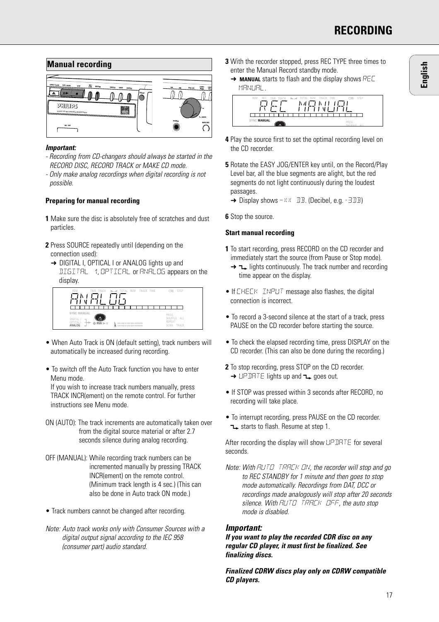

#### **Important:**

- Recording from CD-changers should always be started in the RECORD DISC, RECORD TRACK or MAKE CD mode.
- Only make analog recordings when digital recording is not possible.

#### **Preparing for manual recording**

- **1** Make sure the disc is absolutely free of scratches and dust particles.
- **2** Press SOURCE repeatedly until (depending on the connection used):
	- → DIGITAL I, OPTICAL I or ANALOG lights up and DIGITAL 1, OPTICAL or ANALOG appears on the display.



- When Auto Track is ON (default setting), track numbers will automatically be increased during recording.
- To switch off the Auto Track function you have to enter Menu mode.

If you wish to increase track numbers manually, press TRACK INCR(ement) on the remote control. For further instructions see Menu mode.

- ON (AUTO): The track increments are automatically taken over from the digital source material or after 2.7 seconds silence during analog recording.
- OFF (MANUAL): While recording track numbers can be incremented manually by pressing TRACK INCR(ement) on the remote control. (Minimum track length is 4 sec.) (This can also be done in Auto track ON mode.)
- Track numbers cannot be changed after recording.
- Note: Auto track works only with Consumer Sources with a digital output signal according to the IEC 958 (consumer part) audio standard.
- **3** With the recorder stopped, press REC TYPE three times to enter the Manual Record standby mode.
	- **→ MANUAL** starts to flash and the display shows REC MANUAL.



- **4** Play the source first to set the optimal recording level on the CD recorder.
- **5** Rotate the EASY JOG/ENTER key until, on the Record/Play Level bar, all the blue segments are alight, but the red segments do not light continuously during the loudest passages.
	- $\rightarrow$  Display shows  $-XX$  DB. (Decibel, e.g. -3DB)
- **6** Stop the source.

#### **Start manual recording**

- **1** To start recording, press RECORD on the CD recorder and immediately start the source (from Pause or Stop mode).
	- $\rightarrow$   $\rightarrow$  lights continuously. The track number and recording time appear on the display.
- If CHECK INPUT message also flashes, the digital connection is incorrect.
- To record a 3-second silence at the start of a track, press PAUSE on the CD recorder before starting the source.
- To check the elapsed recording time, press DISPLAY on the CD recorder. (This can also be done during the recording.)
- **2** To stop recording, press STOP on the CD recorder.  $\rightarrow$  UPDATE lights up and  $\neg$  goes out.
- If STOP was pressed within 3 seconds after RECORD, no recording will take place.
- To interrupt recording, press PAUSE on the CD recorder. starts to flash. Resume at step 1.

After recording the display will show UPDATE for several seconds.

Note: With AUTO TRACK ON, the recorder will stop and go to REC STANDBY for 1 minute and then goes to stop mode automatically. Recordings from DAT, DCC or recordings made analogously will stop after 20 seconds silence. With RUTO TRACK OFF, the auto stop mode is disabled.

#### **Important:**

**If you want to play the recorded CDR disc on any regular CD player, it must first be finalized. See finalizing discs.** 

**Finalized CDRW discs play only on CDRW compatible CD players.**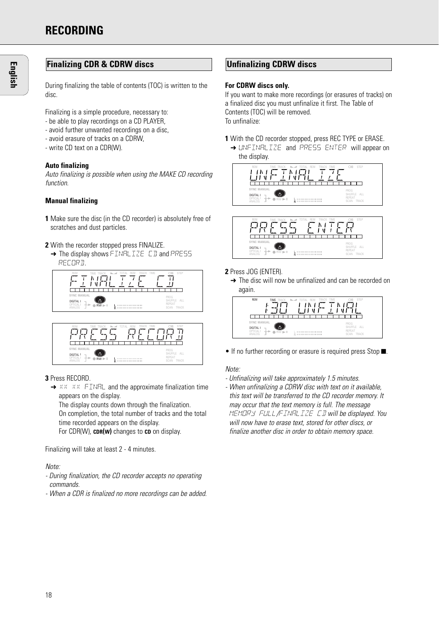### **Finalizing CDR & CDRW discs**

During finalizing the table of contents (TOC) is written to the disc.

Finalizing is a simple procedure, necessary to:

- be able to play recordings on a CD PLAYER,
- avoid further unwanted recordings on a disc,
- avoid erasure of tracks on a CDRW,
- write CD text on a CDR(W).

#### **Auto finalizing**

Auto finalizing is possible when using the MAKE CD recording function.

#### **Manual finalizing**

- **1** Make sure the disc (in the CD recorder) is absolutely free of scratches and dust particles.
- **2** With the recorder stopped press FINALIZE.
- → The display shows FINALIZE CD and PRESS RECORD.





#### **3** Press RECORD.

**→ XX XX FINAL and the approximate finalization time** appears on the display.

The display counts down through the finalization. On completion, the total number of tracks and the total time recorded appears on the display. For CDR(W), **CDR(W)** changes to **CD** on display.

Finalizing will take at least 2 - 4 minutes.

#### Note:

- During finalization, the CD recorder accepts no operating commands.
- When a CDR is finalized no more recordings can be added.

#### **Unfinalizing CDRW discs**

#### **For CDRW discs only.**

If you want to make more recordings (or erasures of tracks) on a finalized disc you must unfinalize it first. The Table of Contents (TOC) will be removed. To unfinalize:

- **1** With the CD recorder stopped, press REC TYPE or ERASE.
	- → UNFINALIZE and PRESS ENTER will appear on the display.





#### **2** Press JOG (ENTER).

**→** The disc will now be unfinalized and can be recorded on again.



• If no further recording or erasure is required press Stop  $\blacksquare$ .

#### Note:

- Unfinalizing will take approximately 1.5 minutes.
- When unfinalizing a CDRW disc with text on it available, this text will be transferred to the CD recorder memory. It may occur that the text memory is full. The message MEMORY FULL/FINALIZE CD will be displayed. You will now have to erase text, stored for other discs, or finalize another disc in order to obtain memory space.

**English**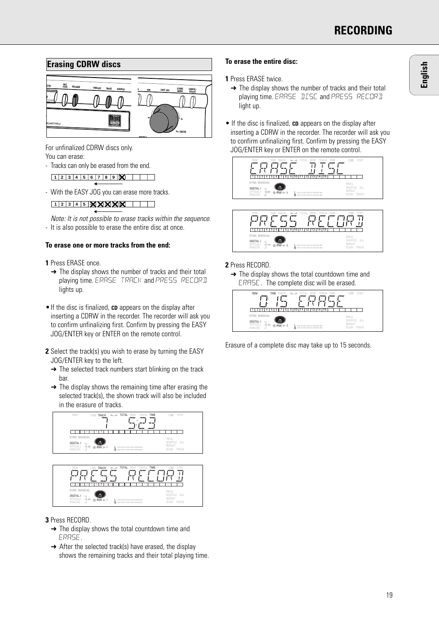

For unfinalized CDRW discs only. You can erase:

- Tracks can only be erased from the end.

```
1 2 3 4 5 678 9 10
```
- With the EASY JOG you can erase more tracks.

**1 2 3 4 5 678 9 10**

Note: It is not possible to erase tracks within the sequence. - It is also possible to erase the entire disc at once.

#### **To erase one or more tracks from the end:**

**1** Press ERASE once.

- $\rightarrow$  The display shows the number of tracks and their total playing time. ERASE TRACK and PRESS RECORD lights up.
- •If the disc is finalized, **CD** appears on the display after inserting a CDRW in the recorder. The recorder will ask you to confirm unfinalizing first. Confirm by pressing the EASY JOG/ENTER key or ENTER on the remote control.
- **2** Select the track(s) you wish to erase by turning the EASY JOG/ENTER key to the left.
	- → The selected track numbers start blinking on the track bar.
	- $\rightarrow$  The display shows the remaining time after erasing the selected track(s), the shown track will also be included in the erasure of tracks.



#### **3** Press RECORD.

DIGITAL OPTICAL

RW SYNC MANUAL **Report** 

 $\rightarrow$  The display shows the total countdown time and ERASE.

 $\frac{1}{R}$  and an annual manual

 $\rightarrow$  After the selected track(s) have erased, the display shows the remaining tracks and their total playing time.

#### **To erase the entire disc:**

#### **1** Press ERASE twice.

- **→** The display shows the number of tracks and their total playing time. ERASE DISC and PRESS RECORD light up.
- If the disc is finalized, **CD** appears on the display after inserting a CDRW in the recorder. The recorder will ask you to confirm unfinalizing first. Confirm by pressing the EASY JOG/ENTER key or ENTER on the remote control.





#### **2** Press RECORD.

**→** The display shows the total countdown time and ERASE. The complete disc will be erased.



Erasure of a complete disc may take up to 15 seconds.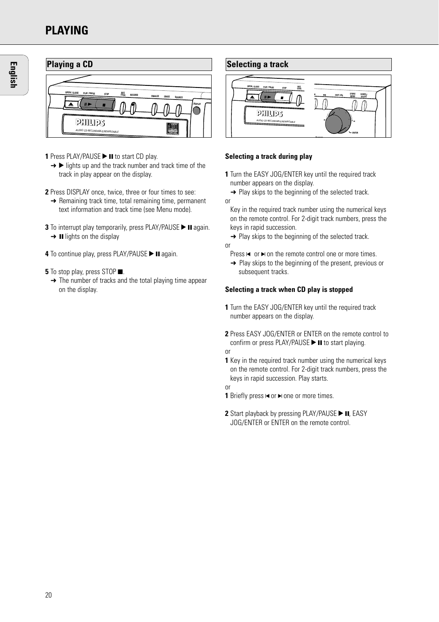# **PLAYING**



- **1** Press PLAY/PAUSE **> II** to start CD play.
	- $\rightarrow \rightarrow$  lights up and the track number and track time of the track in play appear on the display.
- **2** Press DISPLAY once, twice, three or four times to see:
- $\rightarrow$  Remaining track time, total remaining time, permanent text information and track time (see Menu mode).
- **3** To interrupt play temporarily, press PLAY/PAUSE > II again.  $\rightarrow$  II lights on the display
- **4** To continue play, press PLAY/PAUSE > II again.
- **5** To stop play, press STOP **.** 
	- $\rightarrow$  The number of tracks and the total playing time appear on the display.



#### **Selecting a track during play**

- **1** Turn the EASY JOG/ENTER key until the required track number appears on the display.
- $\rightarrow$  Play skips to the beginning of the selected track.
- or
	- Key in the required track number using the numerical keys on the remote control. For 2-digit track numbers, press the keys in rapid succession.
- $\rightarrow$  Play skips to the beginning of the selected track. or
	- Press  $\blacktriangleleft$  or  $\blacktriangleright$  on the remote control one or more times.
	- **→** Play skips to the beginning of the present, previous or subsequent tracks.

#### **Selecting a track when CD play is stopped**

- **1** Turn the EASY JOG/ENTER key until the required track number appears on the display.
- **2** Press EASY JOG/ENTER or ENTER on the remote control to confirm or press PLAY/PAUSE  $\blacktriangleright$  II to start playing.

or

**1** Key in the required track number using the numerical keys on the remote control. For 2-digit track numbers, press the keys in rapid succession. Play starts.

or

- **1** Briefly press  $\blacktriangleleft$  or  $\blacktriangleright$  one or more times.
- **2** Start playback by pressing PLAY/PAUSE ► II, EASY JOG/ENTER or ENTER on the remote control.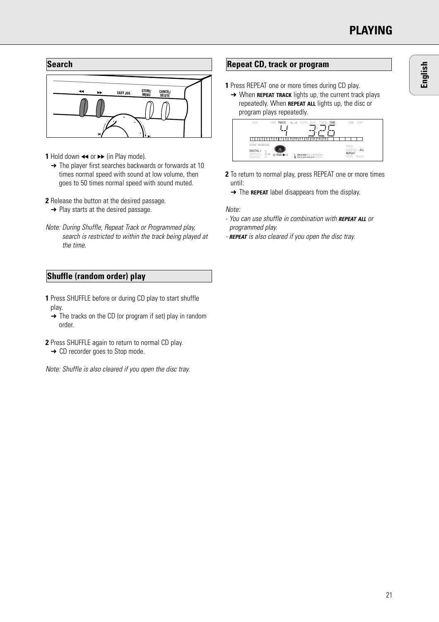

- **1** Hold down  $\leftrightarrow$  or  $\rightarrow$  (in Play mode).
	- → The player first searches backwards or forwards at 10 times normal speed with sound at low volume, then goes to 50 times normal speed with sound muted.
- **2** Release the button at the desired passage.
	- **→** Play starts at the desired passage.
- Note: During Shuffle, Repeat Track or Programmed play, search is restricted to within the track being played at the time.

# **Shuffle (random order) play**

- **1** Press SHUFFLE before or during CD play to start shuffle play.
	- $\rightarrow$  The tracks on the CD (or program if set) play in random order.
- **2** Press SHUFFLE again to return to normal CD play.
- **→ CD recorder goes to Stop mode.**

Note: Shuffle is also cleared if you open the disc tray.

# **Repeat CD, track or program**

- **1** Press REPEAT one or more times during CD play.
- **→ When REPEAT TRACK** lights up, the current track plays repeatedly. When **REPEAT ALL** lights up, the disc or program plays repeatedly.



- **2** To return to normal play, press REPEAT one or more times until:
	- **→** The **REPEAT** label disappears from the display.

#### Note:

- You can use shuffle in combination with **REPEAT ALL** or programmed play.
- **REPEAT** is also cleared if you open the disc tray.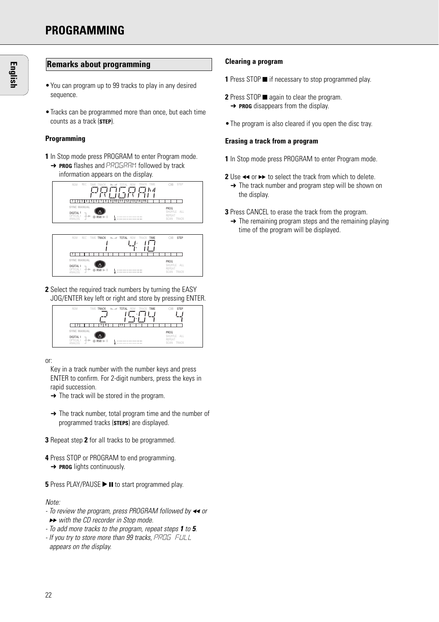### **Remarks about programming**

- •You can program up to 99 tracks to play in any desired sequence.
- •Tracks can be programmed more than once, but each time counts as a track (**STEP**).

#### **Programming**

**1** In Stop mode press PROGRAM to enter Program mode. **→ PROG** flashes and PROGRAM followed by track information appears on the display.





**2** Select the required track numbers by turning the EASY JOG/ENTER key left or right and store by pressing ENTER.



or:

Key in a track number with the number keys and press ENTER to confirm. For 2-digit numbers, press the keys in rapid succession.

- $\rightarrow$  The track will be stored in the program.
- **→** The track number, total program time and the number of programmed tracks (**STEPS**) are displayed.
- **3** Repeat step **2** for all tracks to be programmed.
- **4** Press STOP or PROGRAM to end programming. **→ PROG** lights continuously.

**5** Press PLAY/PAUSE **> II** to start programmed play.

#### Note:

- To review the program, press PROGRAM followed by  $\leftrightarrow$  or ► with the CD recorder in Stop mode.
- To add more tracks to the program, repeat steps **1** to **5**.
- If you try to store more than 99 tracks, PROG FULL appears on the display.

#### **Clearing a program**

- **1** Press STOP if necessary to stop programmed play.
- **2** Press STOP again to clear the program.
	- **→ PROG** disappears from the display.
- •The program is also cleared if you open the disc tray.

#### **Erasing a track from a program**

- **1** In Stop mode press PROGRAM to enter Program mode.
- **2** Use  $\leftrightarrow$  or  $\rightarrow$  to select the track from which to delete.
	- **→** The track number and program step will be shown on the display.
- **3** Press CANCEL to erase the track from the program.
	- $\rightarrow$  The remaining program steps and the remaining playing time of the program will be displayed.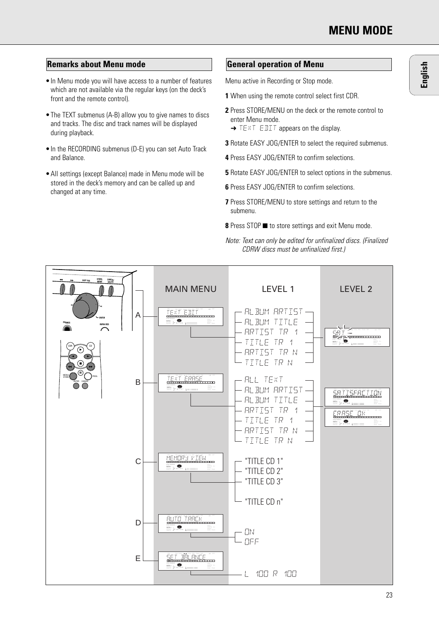**English**

# **Remarks about Menu mode General operation of Menu**

- •In Menu mode you will have access to a number of features which are not available via the regular keys (on the deck's front and the remote control).
- •The TEXT submenus (A-B) allow you to give names to discs and tracks. The disc and track names will be displayed during playback.
- •In the RECORDING submenus (D-E) you can set Auto Track and Balance.
- •All settings (except Balance) made in Menu mode will be stored in the deck's memory and can be called up and changed at any time.

Menu active in Recording or Stop mode.

- **1** When using the remote control select first CDR.
- **2** Press STORE/MENU on the deck or the remote control to enter Menu mode.
	- **→ TEXT EDIT appears on the display.**
- **3** Rotate EASY JOG/ENTER to select the required submenus.
- **4** Press EASY JOG/ENTER to confirm selections.
- **5** Rotate EASY JOG/ENTER to select options in the submenus.
- **6** Press EASY JOG/ENTER to confirm selections.
- **7** Press STORE/MENU to store settings and return to the submenu.
- **8** Press STOP to store settings and exit Menu mode.



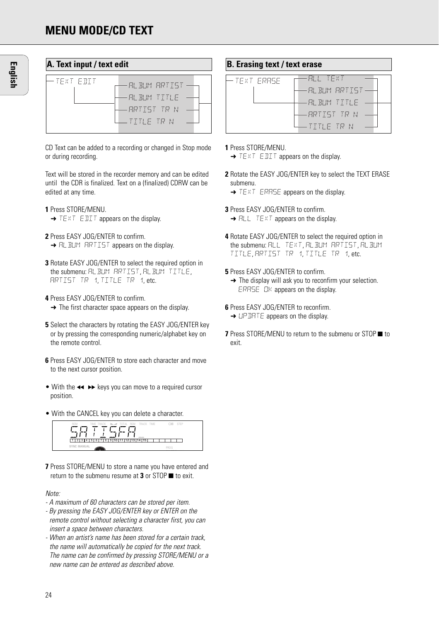| A. Text input / text edit |                                                            |  |
|---------------------------|------------------------------------------------------------|--|
| -TEXT ENTT                | ALBUM ARTIST<br>AL BUM TITLE<br>RRTIST TR N<br>LITTLE TR N |  |

CD Text can be added to a recording or changed in Stop mode or during recording.

Text will be stored in the recorder memory and can be edited until the CDR is finalized. Text on a (finalized) CDRW can be edited at any time.

- **1** Press STORE/MENU.
	- **→ TEXT EDIT appears on the display.**
- **2** Press EASY JOG/ENTER to confirm. **→ ALBUM ARTIST appears on the display.**
- **3** Rotate EASY JOG/ENTER to select the required option in the submenu: ALBUM ARTIST, ALBUM TITLE ARTIST TR 1, TITLE TR 1, etc.
- **4** Press EASY JOG/ENTER to confirm.  $\rightarrow$  The first character space appears on the display.
- **5** Select the characters by rotating the EASY JOG/ENTER key or by pressing the corresponding numeric/alphabet key on the remote control.
- **6** Press EASY JOG/ENTER to store each character and move to the next cursor position.
- With the  $\leftrightarrow$   $\leftrightarrow$  keys you can move to a required cursor position.
- With the CANCEL key you can delete a character.

REM TIME TRACK SHUFFLE SYNC MANUAL **RECORD** TOTAL REM ALL TRACK TIME STEP 1 234 5678 9 10 11 12 13 14 15

**7** Press STORE/MENU to store a name you have entered and return to the submenu resume at **3** or STOP  $\blacksquare$  to exit.

#### Note:

- A maximum of 60 characters can be stored per item.
- By pressing the EASY JOG/ENTER key or ENTER on the remote control without selecting a character first, you can insert a space between characters.
- When an artist's name has been stored for a certain track, the name will automatically be copied for the next track. The name can be confirmed by pressing STORE/MENU or a new name can be entered as described above.

### **B. Erasing text / text erase**

| -TEXT ERASE | RH TEXT         |
|-------------|-----------------|
|             | -AL BLIM ARTIST |
|             | BL BLM IIIE     |
|             | ARTIST IR N     |
|             | TTTIF TR N      |

#### **1** Press STORE/MENU.

- → TEXT EDIT appears on the display.
- **2** Rotate the EASY JOG/ENTER key to select the TEXT ERASE submenu.
	- → TEXT ERRSE appears on the display.
- **3** Press EASY JOG/ENTER to confirm.
	- $\rightarrow$  ALL TEXT appears on the display.
- **4** Rotate EASY JOG/ENTER to select the required option in the submenu: ALL TEXT, ALBUM ARTIST, ALBUM TITLE, ARTIST TR 1, TITLE TR 1, etc.
- **5** Press FASY JOG/FNTFR to confirm.
	- **→** The display will ask you to reconfirm your selection. ERASE OK appears on the display.
- **6** Press **FASY** JOG/**FNTFR** to reconfirm.
	- **→ UPDATE** appears on the display.
- **7** Press STORE/MENU to return to the submenu or STOP to exit.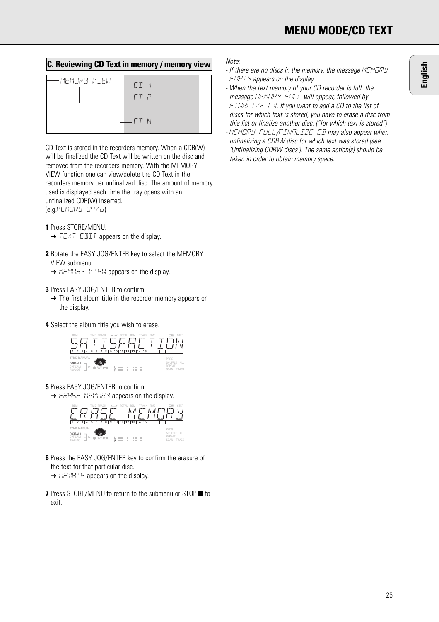# **C. Reviewing CD Text in memory / memory view**



CD Text is stored in the recorders memory. When a CDR(W) will be finalized the CD Text will be written on the disc and removed from the recorders memory. With the MEMORY VIEW function one can view/delete the CD Text in the recorders memory per unfinalized disc. The amount of memory used is displayed each time the tray opens with an unfinalized CDR(W) inserted.  $(e.a.MEMORY 9P/a)$ 

**1** Press STORE/MENU.

- **→ TEXT EDIT appears on the display.**
- **2** Rotate the EASY JOG/ENTER key to select the MEMORY VIEW submenu.
	- **→ MEMORY VIEW appears on the display.**
- **3** Press EASY JOG/ENTER to confirm.
	- **→** The first album title in the recorder memory appears on the display.
- **4** Select the album title you wish to erase.



**5** Press EASY JOG/ENTER to confirm. **→ ERRSE MEMORY appears on the display.** 



**6** Press the EASY JOG/ENTER key to confirm the erasure of the text for that particular disc.

**→ UPDATE** appears on the display.

**7** Press STORE/MENU to return to the submenu or STOP ■ to exit.

#### Note:

- If there are no discs in the memory, the message MEMORY  $FMPT$  Y appears on the display.
- When the text memory of your CD recorder is full, the message MEMORY FULL will appear, followed by FINALIZE CD. If you want to add a CD to the list of discs for which text is stored, you have to erase a disc from this list or finalize another disc. ("for which text is stored") - MEMORY FULL/FINALIZE CD may also appear when unfinalizing a CDRW disc for which text was stored (see 'Unfinalizing CDRW discs'). The same action(s) should be taken in order to obtain memory space.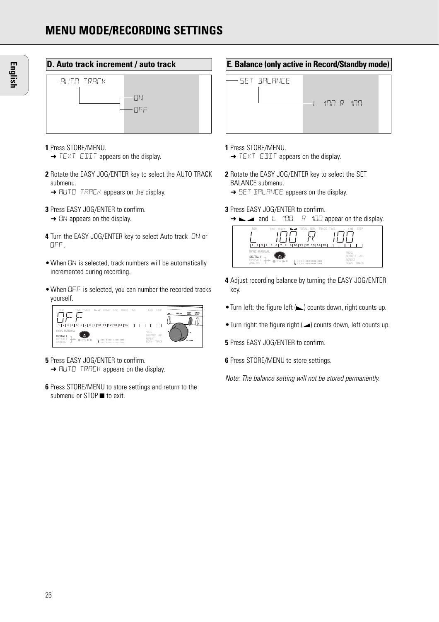

- **1** Press STORE/MENU.
	- → TEXT EDIT appears on the display.
- **2** Rotate the EASY JOG/ENTER key to select the AUTO TRACK submenu.
	- **→ AUTO TRACK appears on the display.**
- **3** Press EASY JOG/ENTER to confirm.
- $\rightarrow$  DN appears on the display.
- **4** Turn the EASY JOG/ENTER key to select Auto track ON or OFF.
- •When ON is selected, track numbers will be automatically incremented during recording.
- •When OFF is selected, you can number the recorded tracks yourself.



- **5** Press EASY JOG/ENTER to confirm. **→ AUTO TRACK appears on the display.**
- **6** Press STORE/MENU to store settings and return to the submenu or STOP to exit.

### **E. Balance (only active in Record/Standby mode)**



#### **1** Press STORE/MENU.

- **→ TEXT EDIT appears on the display.**
- **2** Rotate the EASY JOG/ENTER key to select the SET BALANCE submenu.
	- **→ SET BALANCE appears on the display.**
- **3** Press EASY JOG/ENTER to confirm.

```
→ ► and L 100 R 100 appear on the display.
```


- **4** Adjust recording balance by turning the EASY JOG/ENTER key.
- Turn left: the figure left (but) counts down, right counts up.
- Turn right: the figure right  $(\blacktriangle)$  counts down, left counts up.
- **5** Press EASY JOG/ENTER to confirm.
- **6** Press STORE/MENU to store settings.

Note: The balance setting will not be stored permanently.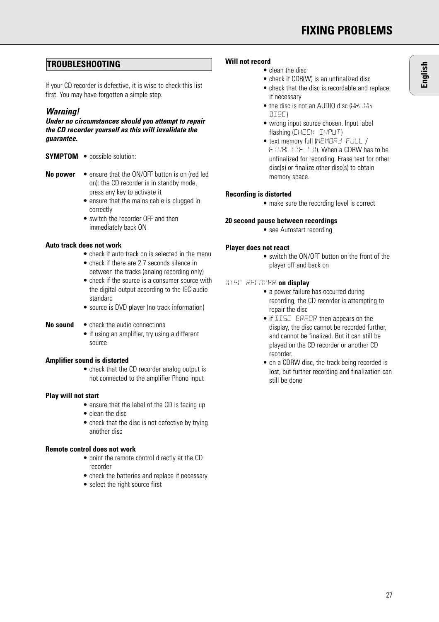# **FIXING PROBLEMS**

# **TROUBLESHOOTING**

If your CD recorder is defective, it is wise to check this list first. You may have forgotten a simple step.

# **Warning!**

**Under no circumstances should you attempt to repair the CD recorder yourself as this will invalidate the guarantee.**

- **SYMPTOM** possible solution:
- **No power** ensure that the ON/OFF button is on (red led on): the CD recorder is in standby mode, press any key to activate it
	- ensure that the mains cable is plugged in correctly
	- switch the recorder OFF and then immediately back ON

# **Auto track does not work**

- check if auto track on is selected in the menu
- check if there are 2.7 seconds silence in between the tracks (analog recording only)
- check if the source is a consumer source with the digital output according to the IEC audio standard
- source is DVD player (no track information)
- **No sound** check the audio connections
	- if using an amplifier, try using a different source

# **Amplifier sound is distorted**

• check that the CD recorder analog output is not connected to the amplifier Phono input

# **Play will not start**

- ensure that the label of the CD is facing up
- clean the disc
- check that the disc is not defective by trying another disc

# **Remote control does not work**

- point the remote control directly at the CD recorder
- check the batteries and replace if necessary
- select the right source first

#### **Will not record**

- clean the disc
- check if CDR(W) is an unfinalized disc
- check that the disc is recordable and replace if necessary
- the disc is not an AUDIO disc (WRONG  $TITST$
- wrong input source chosen. Input label flashing (CHECK INPUT)
- text memory full (MEMORY FULL / FINALIZE CD). When a CDRW has to be unfinalized for recording. Erase text for other disc(s) or finalize other disc(s) to obtain memory space.

#### **Recording is distorted**

• make sure the recording level is correct

#### **20 second pause between recordings**

• see Autostart recording

#### **Player does not react**

• switch the ON/OFF button on the front of the player off and back on

#### DISC RECOVER **on display**

- a power failure has occurred during recording, the CD recorder is attempting to repair the disc
- if **DISC** ERROR then appears on the display, the disc cannot be recorded further, and cannot be finalized. But it can still be played on the CD recorder or another CD recorder.
- on a CDRW disc, the track being recorded is lost, but further recording and finalization can still be done